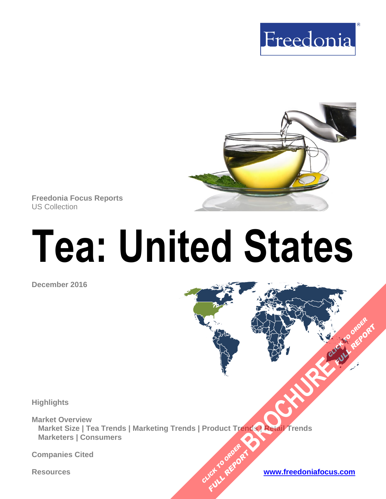



**Freedonia Focus Reports** US Collection

# **Tea: United States**

**December 2016**

**Highlights**

**Market Overview Market Size | Tea Trends | Marketing Trends | Product Trends | Retail Trends Marketers | Consumers BRACHUREAC** CLICK TO ORDER

CLICK TO ORDER **FULL REPORT** 

**Companies Cited**

**Resources [www.freedoniafocus.com](http://www.freedoniagroup.com/FocusReports.aspx?ReferrerId=FM-FocusBro)**

**FULL REPORT**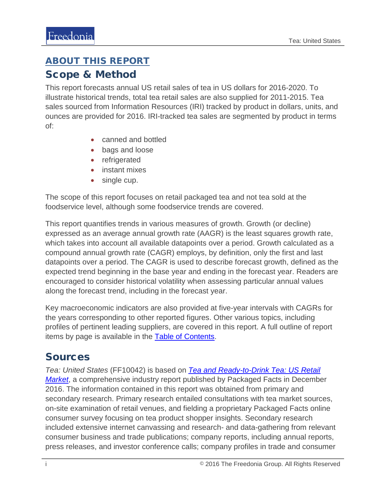# <span id="page-1-0"></span>ABOUT THIS REPORT

#### Scope & Method

This report forecasts annual US retail sales of tea in US dollars for 2016-2020. To illustrate historical trends, total tea retail sales are also supplied for 2011-2015. Tea sales sourced from Information Resources (IRI) tracked by product in dollars, units, and ounces are provided for 2016. IRI-tracked tea sales are segmented by product in terms of:

- canned and bottled
- bags and loose
- refrigerated
- instant mixes
- single cup.

The scope of this report focuses on retail packaged tea and not tea sold at the foodservice level, although some foodservice trends are covered.

This report quantifies trends in various measures of growth. Growth (or decline) expressed as an average annual growth rate (AAGR) is the least squares growth rate, which takes into account all available datapoints over a period. Growth calculated as a compound annual growth rate (CAGR) employs, by definition, only the first and last datapoints over a period. The CAGR is used to describe forecast growth, defined as the expected trend beginning in the base year and ending in the forecast year. Readers are encouraged to consider historical volatility when assessing particular annual values along the forecast trend, including in the forecast year.

Key macroeconomic indicators are also provided at five-year intervals with CAGRs for the years corresponding to other reported figures. Other various topics, including profiles of pertinent leading suppliers, are covered in this report. A full outline of report items by page is available in the **Table of Contents**.

#### Sources

*Tea: United States* (FF10042) is based on *[Tea and Ready-to-Drink Tea: US Retail](https://www.packagedfacts.com/Tea-Ready-Drink-10507668/)  [Market](https://www.packagedfacts.com/Tea-Ready-Drink-10507668/)*, a comprehensive industry report published by Packaged Facts in December 2016. The information contained in this report was obtained from primary and secondary research. Primary research entailed consultations with tea market sources, on-site examination of retail venues, and fielding a proprietary Packaged Facts online consumer survey focusing on tea product shopper insights. Secondary research included extensive internet canvassing and research- and data-gathering from relevant consumer business and trade publications; company reports, including annual reports, press releases, and investor conference calls; company profiles in trade and consumer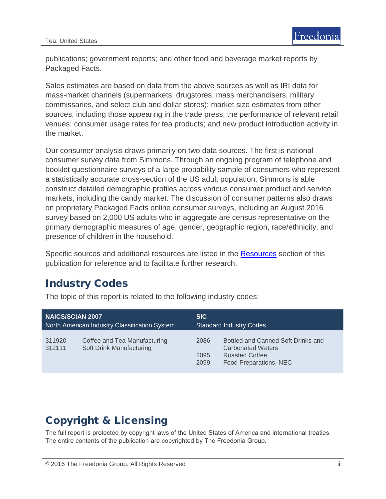publications; government reports; and other food and beverage market reports by Packaged Facts.

Sales estimates are based on data from the above sources as well as IRI data for mass-market channels (supermarkets, drugstores, mass merchandisers, military commissaries, and select club and dollar stores); market size estimates from other sources, including those appearing in the trade press; the performance of relevant retail venues; consumer usage rates for tea products; and new product introduction activity in the market.

Our consumer analysis draws primarily on two data sources. The first is national consumer survey data from Simmons. Through an ongoing program of telephone and booklet questionnaire surveys of a large probability sample of consumers who represent a statistically accurate cross-section of the US adult population, Simmons is able construct detailed demographic profiles across various consumer product and service markets, including the candy market. The discussion of consumer patterns also draws on proprietary Packaged Facts online consumer surveys, including an August 2016 survey based on 2,000 US adults who in aggregate are census representative on the primary demographic measures of age, gender, geographic region, race/ethnicity, and presence of children in the household.

Specific sources and additional resources are listed in the [Resources](#page-4-0) section of this publication for reference and to facilitate further research.

#### Industry Codes

The topic of this report is related to the following industry codes:

| <b>NAICS/SCIAN 2007</b>                       |                                                          | <b>SIC</b>                     |                                                                                                                   |
|-----------------------------------------------|----------------------------------------------------------|--------------------------------|-------------------------------------------------------------------------------------------------------------------|
| North American Industry Classification System |                                                          | <b>Standard Industry Codes</b> |                                                                                                                   |
| 311920<br>312111                              | Coffee and Tea Manufacturing<br>Soft Drink Manufacturing | 2086<br>2095<br>2099           | Bottled and Canned Soft Drinks and<br><b>Carbonated Waters</b><br><b>Roasted Coffee</b><br>Food Preparations, NEC |

## Copyright & Licensing

The full report is protected by copyright laws of the United States of America and international treaties. The entire contents of the publication are copyrighted by The Freedonia Group.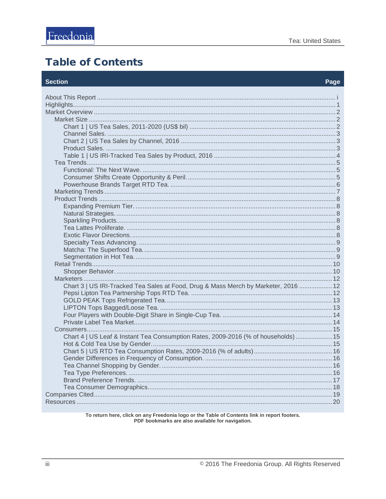#### <span id="page-3-0"></span>**Table of Contents**

#### **Section**

| Chart 3   US IRI-Tracked Tea Sales at Food, Drug & Mass Merch by Marketer, 2016  12 |  |
|-------------------------------------------------------------------------------------|--|
|                                                                                     |  |
|                                                                                     |  |
|                                                                                     |  |
|                                                                                     |  |
|                                                                                     |  |
|                                                                                     |  |
| Chart 4   US Leaf & Instant Tea Consumption Rates, 2009-2016 (% of households)  15  |  |
|                                                                                     |  |
|                                                                                     |  |
|                                                                                     |  |
|                                                                                     |  |
|                                                                                     |  |
|                                                                                     |  |
|                                                                                     |  |
|                                                                                     |  |
|                                                                                     |  |

To return here, click on any Freedonia logo or the Table of Contents link in report footers.<br>PDF bookmarks are also available for navigation.